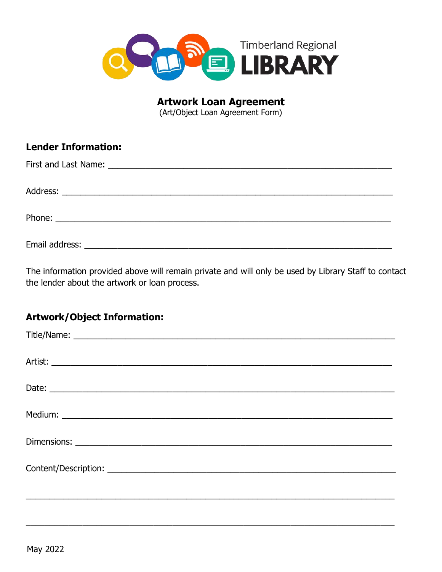

**Artwork Loan Agreement** 

(Art/Object Loan Agreement Form)

| <b>Lender Information:</b> |
|----------------------------|
|                            |
|                            |
|                            |
|                            |

The information provided above will remain private and will only be used by Library Staff to contact the lender about the artwork or loan process.

## **Artwork/Object Information:**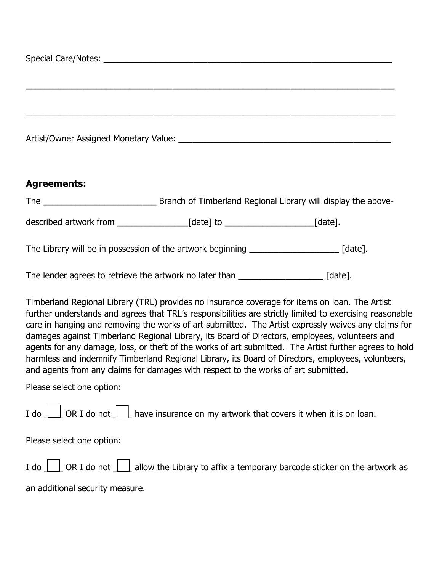## **Agreements:**

The \_\_\_\_\_\_\_\_\_\_\_\_\_\_\_\_\_\_\_\_\_\_\_\_ Branch of Timberland Regional Library will display the above-

described artwork from \_\_\_\_\_\_\_\_\_\_\_\_\_\_\_[date] to \_\_\_\_\_\_\_\_\_\_\_\_\_\_\_\_\_\_\_[date].

The Library will be in possession of the artwork beginning \_\_\_\_\_\_\_\_\_\_\_\_\_\_\_\_\_\_\_\_\_\_ [date].

The lender agrees to retrieve the artwork no later than  $\lceil \frac{1}{2} \rceil$ 

Timberland Regional Library (TRL) provides no insurance coverage for items on loan. The Artist further understands and agrees that TRL's responsibilities are strictly limited to exercising reasonable care in hanging and removing the works of art submitted. The Artist expressly waives any claims for damages against Timberland Regional Library, its Board of Directors, employees, volunteers and agents for any damage, loss, or theft of the works of art submitted. The Artist further agrees to hold harmless and indemnify Timberland Regional Library, its Board of Directors, employees, volunteers, and agents from any claims for damages with respect to the works of art submitted.

Please select one option:

I do  $\Box$  OR I do not  $\Box$  have insurance on my artwork that covers it when it is on loan.

Please select one option:

| I do $\Box$ OR I do not $\Box$ allow the Library to affix a temporary barcode sticker on the artwork as |
|---------------------------------------------------------------------------------------------------------|
| an additional security measure.                                                                         |